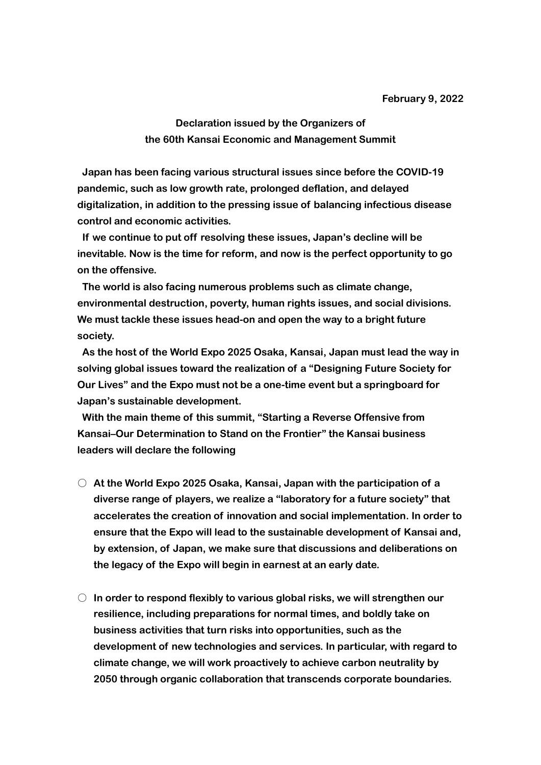**Declaration issued by the Organizers of the 60th Kansai Economic and Management Summit**

**Japan has been facing various structural issues since before the COVID-19 pandemic, such as low growth rate, prolonged deflation, and delayed digitalization, in addition to the pressing issue of balancing infectious disease control and economic activities.**

**If we continue to put off resolving these issues, Japan's decline will be inevitable. Now is the time for reform, and now is the perfect opportunity to go on the offensive.**

**The world is also facing numerous problems such as climate change, environmental destruction, poverty, human rights issues, and social divisions. We must tackle these issues head-on and open the way to a bright future society.**

**As the host of the World Expo 2025 Osaka, Kansai, Japan must lead the way in solving global issues toward the realization of a "Designing Future Society for Our Lives" and the Expo must not be a one-time event but a springboard for Japan's sustainable development.**

**With the main theme of this summit, "Starting a Reverse Offensive from Kansai–Our Determination to Stand on the Frontier" the Kansai business leaders will declare the following**

- **At the World Expo 2025 Osaka, Kansai, Japan with the participation of a diverse range of players, we realize a "laboratory for a future society" that accelerates the creation of innovation and social implementation. In order to ensure that the Expo will lead to the sustainable development of Kansai and, by extension, of Japan, we make sure that discussions and deliberations on the legacy of the Expo will begin in earnest at an early date.**
- **In order to respond flexibly to various global risks, we will strengthen our resilience, including preparations for normal times, and boldly take on business activities that turn risks into opportunities, such as the development of new technologies and services. In particular, with regard to climate change, we will work proactively to achieve carbon neutrality by 2050 through organic collaboration that transcends corporate boundaries.**